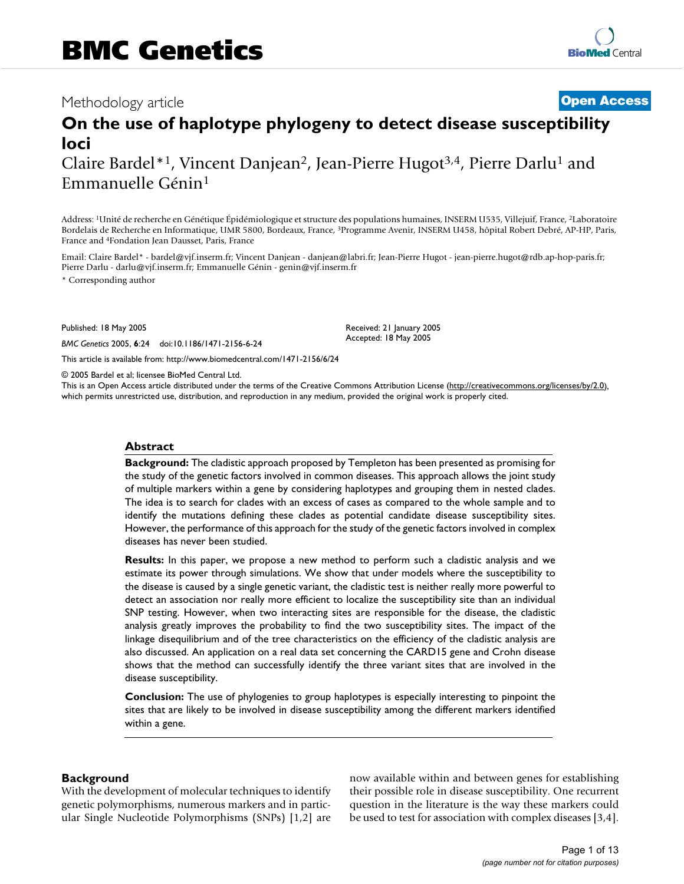# Methodology article **Contract Contract Contract Contract Contract Contract Contract Contract Contract Contract Contract Contract Contract Contract Contract Contract Contract Contract Contract Contract Contract Contract Con**

# **On the use of haplotype phylogeny to detect disease susceptibility loci**

Claire Bardel\*<sup>1</sup>, Vincent Danjean<sup>2</sup>, Jean-Pierre Hugot3,4, Pierre Darlu<sup>1</sup> and Emmanuelle Génin<sup>1</sup>

Address: <sup>1</sup>Unité de recherche en Génétique Épidémiologique et structure des populations humaines, INSERM U535, Villejuif, France, <sup>2</sup>Laboratoire Bordelais de Recherche en Informatique, UMR 5800, Bordeaux, France, <sup>3</sup>Programme Avenir, INSERM U458, hôpital Robert Debré, AP-HP, Paris, France and <sup>4</sup>Fondation Jean Dausset, Paris, France

Email: Claire Bardel\* - bardel@vjf.inserm.fr; Vincent Danjean - danjean@labri.fr; Jean-Pierre Hugot - jean-pierre.hugot@rdb.ap-hop-paris.fr; Pierre Darlu - darlu@vjf.inserm.fr; Emmanuelle Génin - genin@vjf.inserm.fr

\* Corresponding author

Published: 18 May 2005

*BMC Genetics* 2005, **6**:24 doi:10.1186/1471-2156-6-24

[This article is available from: http://www.biomedcentral.com/1471-2156/6/24](http://www.biomedcentral.com/1471-2156/6/24)

© 2005 Bardel et al; licensee BioMed Central Ltd.

This is an Open Access article distributed under the terms of the Creative Commons Attribution License [\(http://creativecommons.org/licenses/by/2.0\)](http://creativecommons.org/licenses/by/2.0), which permits unrestricted use, distribution, and reproduction in any medium, provided the original work is properly cited.

Received: 21 January 2005 Accepted: 18 May 2005

#### **Abstract**

**Background:** The cladistic approach proposed by Templeton has been presented as promising for the study of the genetic factors involved in common diseases. This approach allows the joint study of multiple markers within a gene by considering haplotypes and grouping them in nested clades. The idea is to search for clades with an excess of cases as compared to the whole sample and to identify the mutations defining these clades as potential candidate disease susceptibility sites. However, the performance of this approach for the study of the genetic factors involved in complex diseases has never been studied.

**Results:** In this paper, we propose a new method to perform such a cladistic analysis and we estimate its power through simulations. We show that under models where the susceptibility to the disease is caused by a single genetic variant, the cladistic test is neither really more powerful to detect an association nor really more efficient to localize the susceptibility site than an individual SNP testing. However, when two interacting sites are responsible for the disease, the cladistic analysis greatly improves the probability to find the two susceptibility sites. The impact of the linkage disequilibrium and of the tree characteristics on the efficiency of the cladistic analysis are also discussed. An application on a real data set concerning the CARD15 gene and Crohn disease shows that the method can successfully identify the three variant sites that are involved in the disease susceptibility.

**Conclusion:** The use of phylogenies to group haplotypes is especially interesting to pinpoint the sites that are likely to be involved in disease susceptibility among the different markers identified within a gene.

#### **Background**

With the development of molecular techniques to identify genetic polymorphisms, numerous markers and in particular Single Nucleotide Polymorphisms (SNPs) [1,2] are now available within and between genes for establishing their possible role in disease susceptibility. One recurrent question in the literature is the way these markers could be used to test for association with complex diseases [3,4].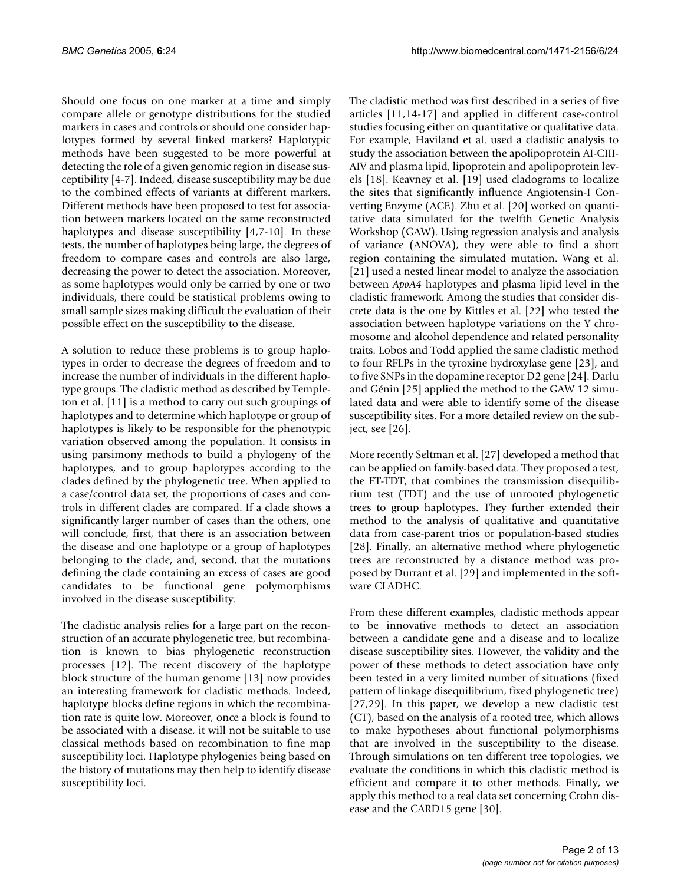Should one focus on one marker at a time and simply compare allele or genotype distributions for the studied markers in cases and controls or should one consider haplotypes formed by several linked markers? Haplotypic methods have been suggested to be more powerful at detecting the role of a given genomic region in disease susceptibility [4-7]. Indeed, disease susceptibility may be due to the combined effects of variants at different markers. Different methods have been proposed to test for association between markers located on the same reconstructed haplotypes and disease susceptibility [4,7-10]. In these tests, the number of haplotypes being large, the degrees of freedom to compare cases and controls are also large, decreasing the power to detect the association. Moreover, as some haplotypes would only be carried by one or two individuals, there could be statistical problems owing to small sample sizes making difficult the evaluation of their possible effect on the susceptibility to the disease.

A solution to reduce these problems is to group haplotypes in order to decrease the degrees of freedom and to increase the number of individuals in the different haplotype groups. The cladistic method as described by Templeton et al. [11] is a method to carry out such groupings of haplotypes and to determine which haplotype or group of haplotypes is likely to be responsible for the phenotypic variation observed among the population. It consists in using parsimony methods to build a phylogeny of the haplotypes, and to group haplotypes according to the clades defined by the phylogenetic tree. When applied to a case/control data set, the proportions of cases and controls in different clades are compared. If a clade shows a significantly larger number of cases than the others, one will conclude, first, that there is an association between the disease and one haplotype or a group of haplotypes belonging to the clade, and, second, that the mutations defining the clade containing an excess of cases are good candidates to be functional gene polymorphisms involved in the disease susceptibility.

The cladistic analysis relies for a large part on the reconstruction of an accurate phylogenetic tree, but recombination is known to bias phylogenetic reconstruction processes [12]. The recent discovery of the haplotype block structure of the human genome [13] now provides an interesting framework for cladistic methods. Indeed, haplotype blocks define regions in which the recombination rate is quite low. Moreover, once a block is found to be associated with a disease, it will not be suitable to use classical methods based on recombination to fine map susceptibility loci. Haplotype phylogenies being based on the history of mutations may then help to identify disease susceptibility loci.

The cladistic method was first described in a series of five articles [11,14-17] and applied in different case-control studies focusing either on quantitative or qualitative data. For example, Haviland et al. used a cladistic analysis to study the association between the apolipoprotein AI-CIII-AIV and plasma lipid, lipoprotein and apolipoprotein levels [18]. Keavney et al. [19] used cladograms to localize the sites that significantly influence Angiotensin-I Converting Enzyme (ACE). Zhu et al. [20] worked on quantitative data simulated for the twelfth Genetic Analysis Workshop (GAW). Using regression analysis and analysis of variance (ANOVA), they were able to find a short region containing the simulated mutation. Wang et al. [21] used a nested linear model to analyze the association between *ApoA4* haplotypes and plasma lipid level in the cladistic framework. Among the studies that consider discrete data is the one by Kittles et al. [22] who tested the association between haplotype variations on the Y chromosome and alcohol dependence and related personality traits. Lobos and Todd applied the same cladistic method to four RFLPs in the tyroxine hydroxylase gene [23], and to five SNPs in the dopamine receptor D2 gene [24]. Darlu and Génin [25] applied the method to the GAW 12 simulated data and were able to identify some of the disease susceptibility sites. For a more detailed review on the subject, see [26].

More recently Seltman et al. [27] developed a method that can be applied on family-based data. They proposed a test, the ET-TDT, that combines the transmission disequilibrium test (TDT) and the use of unrooted phylogenetic trees to group haplotypes. They further extended their method to the analysis of qualitative and quantitative data from case-parent trios or population-based studies [28]. Finally, an alternative method where phylogenetic trees are reconstructed by a distance method was proposed by Durrant et al. [29] and implemented in the software CLADHC.

From these different examples, cladistic methods appear to be innovative methods to detect an association between a candidate gene and a disease and to localize disease susceptibility sites. However, the validity and the power of these methods to detect association have only been tested in a very limited number of situations (fixed pattern of linkage disequilibrium, fixed phylogenetic tree) [27,29]. In this paper, we develop a new cladistic test (CT), based on the analysis of a rooted tree, which allows to make hypotheses about functional polymorphisms that are involved in the susceptibility to the disease. Through simulations on ten different tree topologies, we evaluate the conditions in which this cladistic method is efficient and compare it to other methods. Finally, we apply this method to a real data set concerning Crohn disease and the CARD15 gene [30].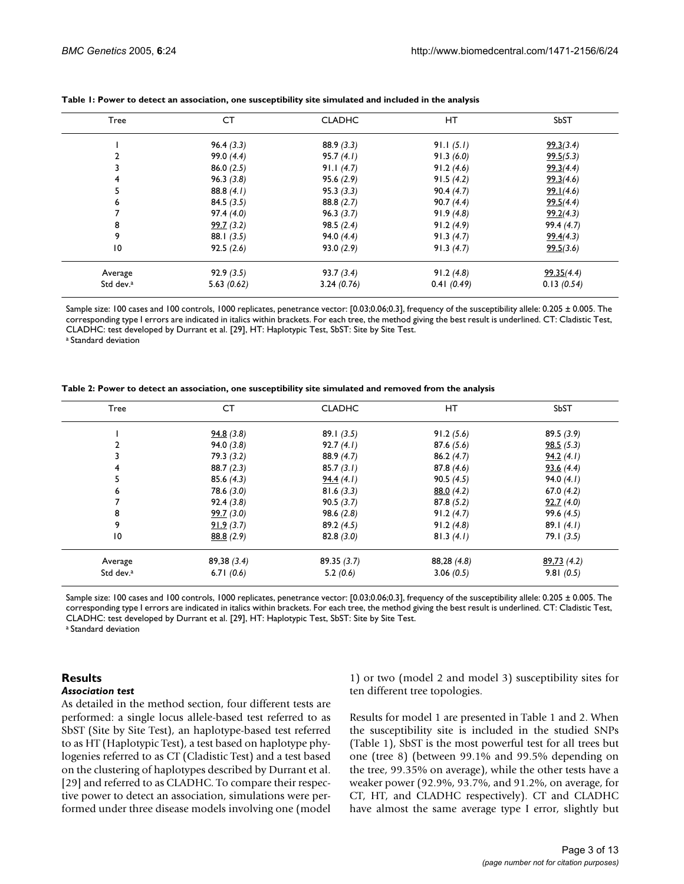| Tree                  | CT           | <b>CLADHC</b> | <b>HT</b>  | <b>SbST</b> |
|-----------------------|--------------|---------------|------------|-------------|
|                       | 96.4(3.3)    | 88.9(3.3)     | 91.1(5.1)  | 99.3(3.4)   |
|                       | 99.0(4.4)    | 95.7(4.1)     | 91.3(6.0)  | 99.5(5.3)   |
|                       | 86.0(2.5)    | 91.1(4.7)     | 91.2(4.6)  | 99.3(4.4)   |
| 4                     | 96.3(3.8)    | 95.6(2.9)     | 91.5(4.2)  | 99.3(4.6)   |
| 5                     | 88.8(4.1)    | 95.3(3.3)     | 90.4(4.7)  | 99.1(4.6)   |
| 6                     | 84.5(3.5)    | 88.8(2.7)     | 90.7(4.4)  | 99.5(4.4)   |
|                       | 97.4(4.0)    | 96.3(3.7)     | 91.9(4.8)  | 99.2(4.3)   |
| 8                     | 99.7(3.2)    | 98.5(2.4)     | 91.2(4.9)  | 99.4(4.7)   |
| 9                     | 88.1 $(3.5)$ | 94.0(4.4)     | 91.3(4.7)  | 99.4(4.3)   |
| $\overline{10}$       | 92.5(2.6)    | 93.0(2.9)     | 91.3(4.7)  | 99.5(3.6)   |
| Average               | 92.9(3.5)    | 93.7(3.4)     | 91.2(4.8)  | 99.35(4.4)  |
| Std dev. <sup>a</sup> | 5.63(0.62)   | 3.24(0.76)    | 0.41(0.49) | 0.13(0.54)  |

#### **Table 1: Power to detect an association, one susceptibility site simulated and included in the analysis**

Sample size: 100 cases and 100 controls, 1000 replicates, penetrance vector: [0.03;0.06;0.3], frequency of the susceptibility allele: 0.205 ± 0.005. The corresponding type I errors are indicated in italics within brackets. For each tree, the method giving the best result is underlined. CT: Cladistic Test, CLADHC: test developed by Durrant et al. [29], HT: Haplotypic Test, SbST: Site by Site Test.

a Standard deviation

| Tree                  | <b>CT</b>  | <b>CLADHC</b> | <b>HT</b>   | <b>SbST</b> |
|-----------------------|------------|---------------|-------------|-------------|
|                       | 94.8(3.8)  | 89.1(3.5)     | 91.2(5.6)   | 89.5(3.9)   |
|                       | 94.0(3.8)  | 92.7(4.1)     | 87.6(5.6)   | 98.5(5.3)   |
|                       | 79.3(3.2)  | 88.9 (4.7)    | 86.2(4.7)   | 94.2(4.1)   |
| 4                     | 88.7(2.3)  | 85.7(3.1)     | 87.8(4.6)   | 93.6(4.4)   |
| 5                     | 85.6(4.3)  | 94.4(4.1)     | 90.5(4.5)   | 94.0(4.1)   |
| 6                     | 78.6(3.0)  | 81.6(3.3)     | 88.0(4.2)   | 67.0(4.2)   |
|                       | 92.4(3.8)  | 90.5(3.7)     | 87.8(5.2)   | 92.7(4.0)   |
| 8                     | 99.7(3.0)  | 98.6(2.8)     | 91.2(4.7)   | 99.6(4.5)   |
| 9                     | 91.9(3.7)  | 89.2(4.5)     | 91.2(4.8)   | 89.1(4.1)   |
| 10                    | 88.8(2.9)  | 82.8(3.0)     | 81.3(4.1)   | 79.1(3.5)   |
| Average               | 89,38(3.4) | 89.35(3.7)    | 88,28 (4.8) | 89,73 (4.2) |
| Std dev. <sup>a</sup> | 6.71(0.6)  | 5.2(0.6)      | 3.06(0.5)   | 9.81(0.5)   |

Sample size: 100 cases and 100 controls, 1000 replicates, penetrance vector: [0.03;0.06;0.3], frequency of the susceptibility allele: 0.205 ± 0.005. The corresponding type I errors are indicated in italics within brackets. For each tree, the method giving the best result is underlined. CT: Cladistic Test, CLADHC: test developed by Durrant et al. [29], HT: Haplotypic Test, SbST: Site by Site Test. a Standard deviation

# **Results**

#### *Association test*

As detailed in the method section, four different tests are performed: a single locus allele-based test referred to as SbST (Site by Site Test), an haplotype-based test referred to as HT (Haplotypic Test), a test based on haplotype phylogenies referred to as CT (Cladistic Test) and a test based on the clustering of haplotypes described by Durrant et al. [29] and referred to as CLADHC. To compare their respective power to detect an association, simulations were performed under three disease models involving one (model

1) or two (model 2 and model 3) susceptibility sites for ten different tree topologies.

Results for model 1 are presented in Table 1 and 2. When the susceptibility site is included in the studied SNPs (Table 1), SbST is the most powerful test for all trees but one (tree 8) (between 99.1% and 99.5% depending on the tree, 99.35% on average), while the other tests have a weaker power (92.9%, 93.7%, and 91.2%, on average, for CT, HT, and CLADHC respectively). CT and CLADHC have almost the same average type I error, slightly but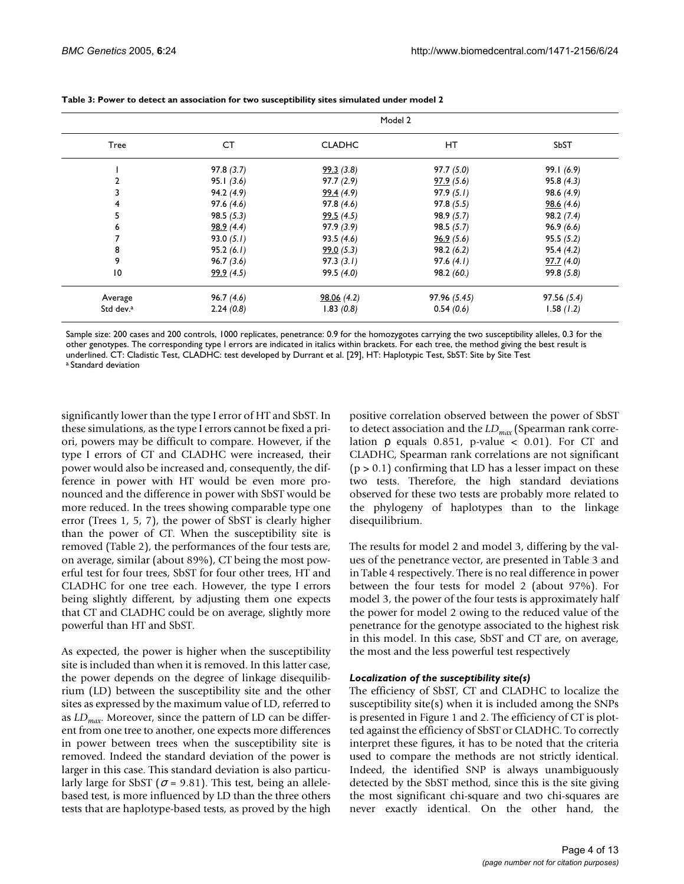|                       | Model 2   |                   |              |             |  |  |
|-----------------------|-----------|-------------------|--------------|-------------|--|--|
| Tree                  | CT        | <b>CLADHC</b>     | HT           | <b>SbST</b> |  |  |
|                       | 97.8(3.7) | <u>99.3</u> (3.8) | 97.7(5.0)    | 99.1(6.9)   |  |  |
|                       | 95.1(3.6) | 97.7(2.9)         | 97.9(5.6)    | 95.8(4.3)   |  |  |
|                       | 94.2(4.9) | <u>99.4</u> (4.9) | 97.9(5.1)    | 98.6(4.9)   |  |  |
| 4                     | 97.6(4.6) | 97.8(4.6)         | 97.8(5.5)    | 98.6(4.6)   |  |  |
|                       | 98.5(5.3) | 99.5(4.5)         | 98.9(5.7)    | 98.2(7.4)   |  |  |
| 6                     | 98.9(4.4) | 97.9 (3.9)        | 98.5(5.7)    | 96.9(6.6)   |  |  |
|                       | 93.0(5.1) | 93.5(4.6)         | 96.9(5.6)    | 95.5(5.2)   |  |  |
| 8                     | 95.2(6.1) | 99.0(5.3)         | 98.2(6.2)    | 95.4(4.2)   |  |  |
| 9                     | 96.7(3.6) | 97.3(3.1)         | 97.6(4.1)    | 97.7(4.0)   |  |  |
| 10                    | 99.9(4.5) | 99.5 (4.0)        | 98.2(60)     | 99.8(5.8)   |  |  |
| Average               | 96.7(4.6) | 98.06(4.2)        | 97.96 (5.45) | 97.56(5.4)  |  |  |
| Std dev. <sup>a</sup> | 2.24(0.8) | 1.83(0.8)         | 0.54(0.6)    | 1.58(1.2)   |  |  |

| Table 3: Power to detect an association for two susceptibility sites simulated under model 2 |  |  |  |
|----------------------------------------------------------------------------------------------|--|--|--|
|----------------------------------------------------------------------------------------------|--|--|--|

Sample size: 200 cases and 200 controls, 1000 replicates, penetrance: 0.9 for the homozygotes carrying the two susceptibility alleles, 0.3 for the other genotypes. The corresponding type I errors are indicated in italics within brackets. For each tree, the method giving the best result is underlined. CT: Cladistic Test, CLADHC: test developed by Durrant et al. [29], HT: Haplotypic Test, SbST: Site by Site Test a Standard deviation

significantly lower than the type I error of HT and SbST. In these simulations, as the type I errors cannot be fixed a priori, powers may be difficult to compare. However, if the type I errors of CT and CLADHC were increased, their power would also be increased and, consequently, the difference in power with HT would be even more pronounced and the difference in power with SbST would be more reduced. In the trees showing comparable type one error (Trees 1, 5, 7), the power of SbST is clearly higher than the power of CT. When the susceptibility site is removed (Table 2), the performances of the four tests are, on average, similar (about 89%), CT being the most powerful test for four trees, SbST for four other trees, HT and CLADHC for one tree each. However, the type I errors being slightly different, by adjusting them one expects that CT and CLADHC could be on average, slightly more powerful than HT and SbST.

As expected, the power is higher when the susceptibility site is included than when it is removed. In this latter case, the power depends on the degree of linkage disequilibrium (LD) between the susceptibility site and the other sites as expressed by the maximum value of LD, referred to as *LDmax*. Moreover, since the pattern of LD can be different from one tree to another, one expects more differences in power between trees when the susceptibility site is removed. Indeed the standard deviation of the power is larger in this case. This standard deviation is also particularly large for SbST ( $\sigma$  = 9.81). This test, being an allelebased test, is more influenced by LD than the three others tests that are haplotype-based tests, as proved by the high

positive correlation observed between the power of SbST to detect association and the *LDmax* (Spearman rank correlation  $\rho$  equals 0.851, p-value < 0.01). For CT and CLADHC, Spearman rank correlations are not significant  $(p > 0.1)$  confirming that LD has a lesser impact on these two tests. Therefore, the high standard deviations observed for these two tests are probably more related to the phylogeny of haplotypes than to the linkage disequilibrium.

The results for model 2 and model 3, differing by the values of the penetrance vector, are presented in Table 3 and in Table [4](#page-4-0) respectively. There is no real difference in power between the four tests for model 2 (about 97%). For model 3, the power of the four tests is approximately half the power for model 2 owing to the reduced value of the penetrance for the genotype associated to the highest risk in this model. In this case, SbST and CT are, on average, the most and the less powerful test respectively

#### *Localization of the susceptibility site(s)*

The efficiency of SbST, CT and CLADHC to localize the susceptibility site(s) when it is included among the SNPs is presented in Figure 1 and [2](#page-5-0). The efficiency of CT is plotted against the efficiency of SbST or CLADHC. To correctly interpret these figures, it has to be noted that the criteria used to compare the methods are not strictly identical. Indeed, the identified SNP is always unambiguously detected by the SbST method, since this is the site giving the most significant chi-square and two chi-squares are never exactly identical. On the other hand, the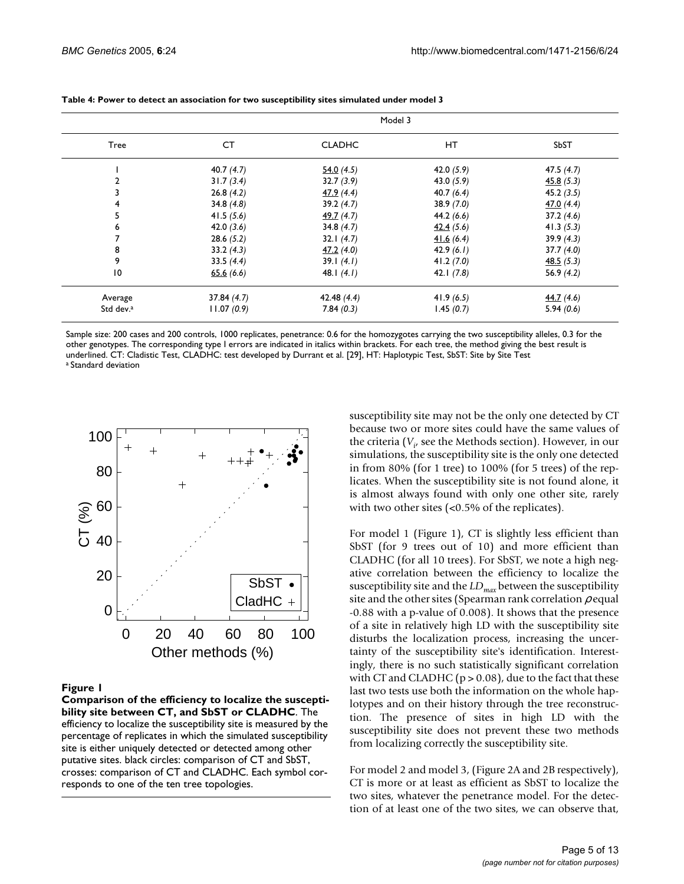|                       | Model 3      |                       |              |              |  |  |
|-----------------------|--------------|-----------------------|--------------|--------------|--|--|
| Tree                  | СT           | <b>CLADHC</b>         | <b>HT</b>    | <b>SbST</b>  |  |  |
|                       | 40.7 $(4.7)$ | $\frac{54.0}{7}(4.5)$ | 42.0 $(5.9)$ | 47.5 $(4.7)$ |  |  |
|                       | 31.7(3.4)    | 32.7(3.9)             | 43.0(5.9)    | 45.8(5.3)    |  |  |
|                       | 26.8(4.2)    | <u>47.9 (4.4)</u>     | 40.7(6.4)    | 45.2(3.5)    |  |  |
| 4                     | 34.8(4.8)    | 39.2(4.7)             | 38.9(7.0)    | 47.0(4.4)    |  |  |
| 5                     | 41.5(5.6)    | <u>49.7 (4.7)</u>     | 44.2(6.6)    | 37.2(4.6)    |  |  |
| ь                     | 42.0 $(3.6)$ | 34.8(4.7)             | 42.4(5.6)    | 41.3(5.3)    |  |  |
|                       | 28.6(5.2)    | 32.1(4.7)             | 41.6(6.4)    | 39.9(4.3)    |  |  |
| 8                     | 33.2(4.3)    | 47.2(4.0)             | 42.9(6.1)    | 37.7(4.0)    |  |  |
| 9                     | 33.5(4.4)    | 39.1(4.1)             | 41.2(7.0)    | 48.5(5.3)    |  |  |
| $\overline{0}$        | 65.6(6.6)    | 48.1 $(4.1)$          | 42.1 $(7.8)$ | 56.9(4.2)    |  |  |
| Average               | 37.84(4.7)   | 42.48(4.4)            | 41.9(6.5)    | 44.7(4.6)    |  |  |
| Std dev. <sup>a</sup> | 11.07(0.9)   | 7.84(0.3)             | 1.45(0.7)    | 5.94(0.6)    |  |  |

<span id="page-4-0"></span>

Sample size: 200 cases and 200 controls, 1000 replicates, penetrance: 0.6 for the homozygotes carrying the two susceptibility alleles, 0.3 for the other genotypes. The corresponding type I errors are indicated in italics within brackets. For each tree, the method giving the best result is underlined. CT: Cladistic Test, CLADHC: test developed by Durrant et al. [29], HT: Haplotypic Test, SbST: Site by Site Test a Standard deviation



#### Figure 1

**Comparison of the efficiency to localize the susceptibility site between CT, and SbST or CLADHC**. The efficiency to localize the susceptibility site is measured by the percentage of replicates in which the simulated susceptibility site is either uniquely detected or detected among other putative sites. black circles: comparison of CT and SbST, crosses: comparison of CT and CLADHC. Each symbol corresponds to one of the ten tree topologies.

susceptibility site may not be the only one detected by CT because two or more sites could have the same values of the criteria (*V<sup>i</sup>* , see the Methods section). However, in our simulations, the susceptibility site is the only one detected in from 80% (for 1 tree) to 100% (for 5 trees) of the replicates. When the susceptibility site is not found alone, it is almost always found with only one other site, rarely with two other sites (<0.5% of the replicates).

For model 1 (Figure 1), CT is slightly less efficient than SbST (for 9 trees out of 10) and more efficient than CLADHC (for all 10 trees). For SbST, we note a high negative correlation between the efficiency to localize the susceptibility site and the *LDmax* between the susceptibility site and the other sites (Spearman rank correlation  $\rho$  equal -0.88 with a p-value of 0.008). It shows that the presence of a site in relatively high LD with the susceptibility site disturbs the localization process, increasing the uncertainty of the susceptibility site's identification. Interestingly, there is no such statistically significant correlation with CT and CLADHC ( $p > 0.08$ ), due to the fact that these last two tests use both the information on the whole haplotypes and on their history through the tree reconstruction. The presence of sites in high LD with the susceptibility site does not prevent these two methods from localizing correctly the susceptibility site.

For model 2 and model 3, (Figure [2A](#page-5-0) and [2](#page-5-0)B respectively), CT is more or at least as efficient as SbST to localize the two sites, whatever the penetrance model. For the detection of at least one of the two sites, we can observe that,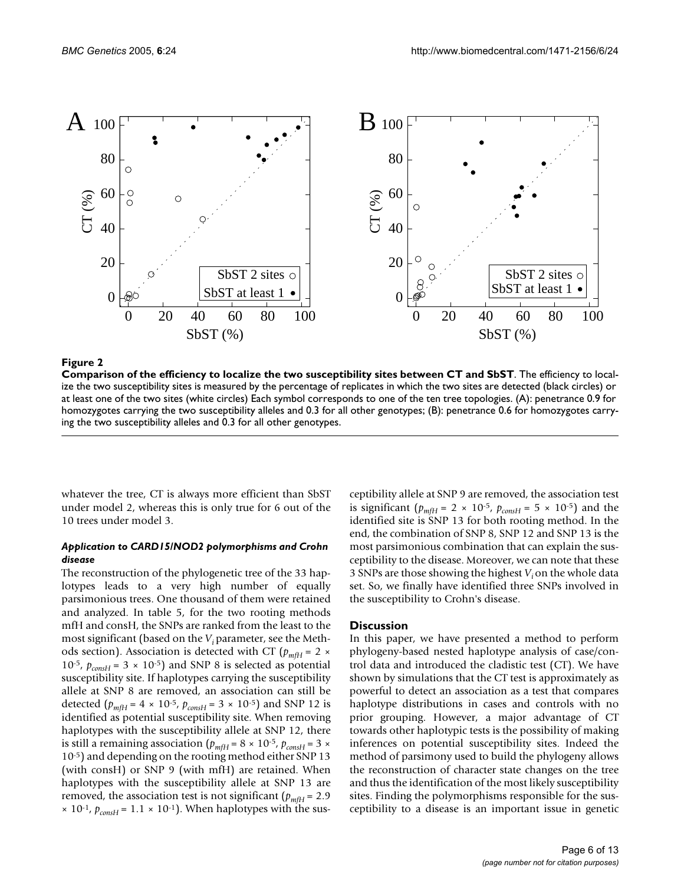<span id="page-5-0"></span>

#### Comparison of the efficiency to **Figure 2** localize the two susceptibility sites between CT and SbST

**Comparison of the efficiency to localize the two susceptibility sites between CT and SbST**. The efficiency to localize the two susceptibility sites is measured by the percentage of replicates in which the two sites are detected (black circles) or at least one of the two sites (white circles) Each symbol corresponds to one of the ten tree topologies. (A): penetrance 0.9 for homozygotes carrying the two susceptibility alleles and 0.3 for all other genotypes; (B): penetrance 0.6 for homozygotes carrying the two susceptibility alleles and 0.3 for all other genotypes.

whatever the tree, CT is always more efficient than SbST under model 2, whereas this is only true for 6 out of the 10 trees under model 3.

#### *Application to CARD15/NOD2 polymorphisms and Crohn disease*

The reconstruction of the phylogenetic tree of the 33 haplotypes leads to a very high number of equally parsimonious trees. One thousand of them were retained and analyzed. In table [5](#page-6-0), for the two rooting methods mfH and consH, the SNPs are ranked from the least to the most significant (based on the *V*<sub>*i*</sub> parameter, see the Methods section). Association is detected with CT ( $p_{mfd}$  = 2  $\times$ 10<sup>-5</sup>,  $p_{const} = 3 \times 10^{-5}$ ) and SNP 8 is selected as potential susceptibility site. If haplotypes carrying the susceptibility allele at SNP 8 are removed, an association can still be detected ( $p_{m\bar{f}H}$  = 4 × 10<sup>-5</sup>,  $p_{const}$  = 3 × 10<sup>-5</sup>) and SNP 12 is identified as potential susceptibility site. When removing haplotypes with the susceptibility allele at SNP 12, there is still a remaining association ( $p_{mftH} = 8 \times 10^{-5}$ ,  $p_{constH} = 3 \times 10^{-5}$ 10-5) and depending on the rooting method either SNP 13 (with consH) or SNP 9 (with mfH) are retained. When haplotypes with the susceptibility allele at SNP 13 are removed, the association test is not significant ( $p_{m f H}$  = 2.9  $\times$  10<sup>-1</sup>,  $p_{const}$  = 1.1  $\times$  10<sup>-1</sup>). When haplotypes with the susceptibility allele at SNP 9 are removed, the association test is significant ( $p_{mfH} = 2 \times 10^{-5}$ ,  $p_{const} = 5 \times 10^{-5}$ ) and the identified site is SNP 13 for both rooting method. In the end, the combination of SNP 8, SNP 12 and SNP 13 is the most parsimonious combination that can explain the susceptibility to the disease. Moreover, we can note that these 3 SNPs are those showing the highest *Vi* on the whole data set. So, we finally have identified three SNPs involved in the susceptibility to Crohn's disease.

#### **Discussion**

In this paper, we have presented a method to perform phylogeny-based nested haplotype analysis of case/control data and introduced the cladistic test (CT). We have shown by simulations that the CT test is approximately as powerful to detect an association as a test that compares haplotype distributions in cases and controls with no prior grouping. However, a major advantage of CT towards other haplotypic tests is the possibility of making inferences on potential susceptibility sites. Indeed the method of parsimony used to build the phylogeny allows the reconstruction of character state changes on the tree and thus the identification of the most likely susceptibility sites. Finding the polymorphisms responsible for the susceptibility to a disease is an important issue in genetic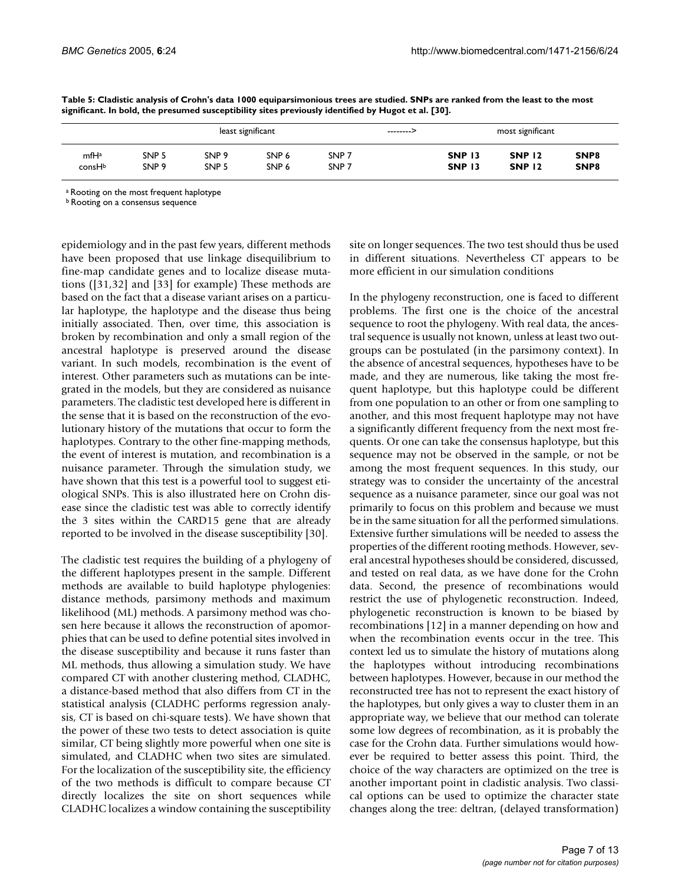|                  | least significant |                  |                  | --------->       |  | most significant |               |      |
|------------------|-------------------|------------------|------------------|------------------|--|------------------|---------------|------|
| mfH <sup>a</sup> | SNP <sub>5</sub>  | SNP <sub>9</sub> | SNP <sub>6</sub> | SNP <sub>7</sub> |  | <b>SNP 13</b>    | <b>SNP 12</b> | SNP8 |
| consHb           | SNP <sub>9</sub>  | SNP <sub>5</sub> | SNP <sub>6</sub> | SNP <sub>7</sub> |  | <b>SNP 13</b>    | <b>SNP 12</b> | SNP8 |

<span id="page-6-0"></span>**Table 5: Cladistic analysis of Crohn's data 1000 equiparsimonious trees are studied. SNPs are ranked from the least to the most significant. In bold, the presumed susceptibility sites previously identified by Hugot et al. [30].**

a Rooting on the most frequent haplotype

**b** Rooting on a consensus sequence

epidemiology and in the past few years, different methods have been proposed that use linkage disequilibrium to fine-map candidate genes and to localize disease mutations ([31,32] and [33] for example) These methods are based on the fact that a disease variant arises on a particular haplotype, the haplotype and the disease thus being initially associated. Then, over time, this association is broken by recombination and only a small region of the ancestral haplotype is preserved around the disease variant. In such models, recombination is the event of interest. Other parameters such as mutations can be integrated in the models, but they are considered as nuisance parameters. The cladistic test developed here is different in the sense that it is based on the reconstruction of the evolutionary history of the mutations that occur to form the haplotypes. Contrary to the other fine-mapping methods, the event of interest is mutation, and recombination is a nuisance parameter. Through the simulation study, we have shown that this test is a powerful tool to suggest etiological SNPs. This is also illustrated here on Crohn disease since the cladistic test was able to correctly identify the 3 sites within the CARD15 gene that are already reported to be involved in the disease susceptibility [30].

The cladistic test requires the building of a phylogeny of the different haplotypes present in the sample. Different methods are available to build haplotype phylogenies: distance methods, parsimony methods and maximum likelihood (ML) methods. A parsimony method was chosen here because it allows the reconstruction of apomorphies that can be used to define potential sites involved in the disease susceptibility and because it runs faster than ML methods, thus allowing a simulation study. We have compared CT with another clustering method, CLADHC, a distance-based method that also differs from CT in the statistical analysis (CLADHC performs regression analysis, CT is based on chi-square tests). We have shown that the power of these two tests to detect association is quite similar, CT being slightly more powerful when one site is simulated, and CLADHC when two sites are simulated. For the localization of the susceptibility site, the efficiency of the two methods is difficult to compare because CT directly localizes the site on short sequences while CLADHC localizes a window containing the susceptibility

site on longer sequences. The two test should thus be used in different situations. Nevertheless CT appears to be more efficient in our simulation conditions

In the phylogeny reconstruction, one is faced to different problems. The first one is the choice of the ancestral sequence to root the phylogeny. With real data, the ancestral sequence is usually not known, unless at least two outgroups can be postulated (in the parsimony context). In the absence of ancestral sequences, hypotheses have to be made, and they are numerous, like taking the most frequent haplotype, but this haplotype could be different from one population to an other or from one sampling to another, and this most frequent haplotype may not have a significantly different frequency from the next most frequents. Or one can take the consensus haplotype, but this sequence may not be observed in the sample, or not be among the most frequent sequences. In this study, our strategy was to consider the uncertainty of the ancestral sequence as a nuisance parameter, since our goal was not primarily to focus on this problem and because we must be in the same situation for all the performed simulations. Extensive further simulations will be needed to assess the properties of the different rooting methods. However, several ancestral hypotheses should be considered, discussed, and tested on real data, as we have done for the Crohn data. Second, the presence of recombinations would restrict the use of phylogenetic reconstruction. Indeed, phylogenetic reconstruction is known to be biased by recombinations [12] in a manner depending on how and when the recombination events occur in the tree. This context led us to simulate the history of mutations along the haplotypes without introducing recombinations between haplotypes. However, because in our method the reconstructed tree has not to represent the exact history of the haplotypes, but only gives a way to cluster them in an appropriate way, we believe that our method can tolerate some low degrees of recombination, as it is probably the case for the Crohn data. Further simulations would however be required to better assess this point. Third, the choice of the way characters are optimized on the tree is another important point in cladistic analysis. Two classical options can be used to optimize the character state changes along the tree: deltran, (delayed transformation)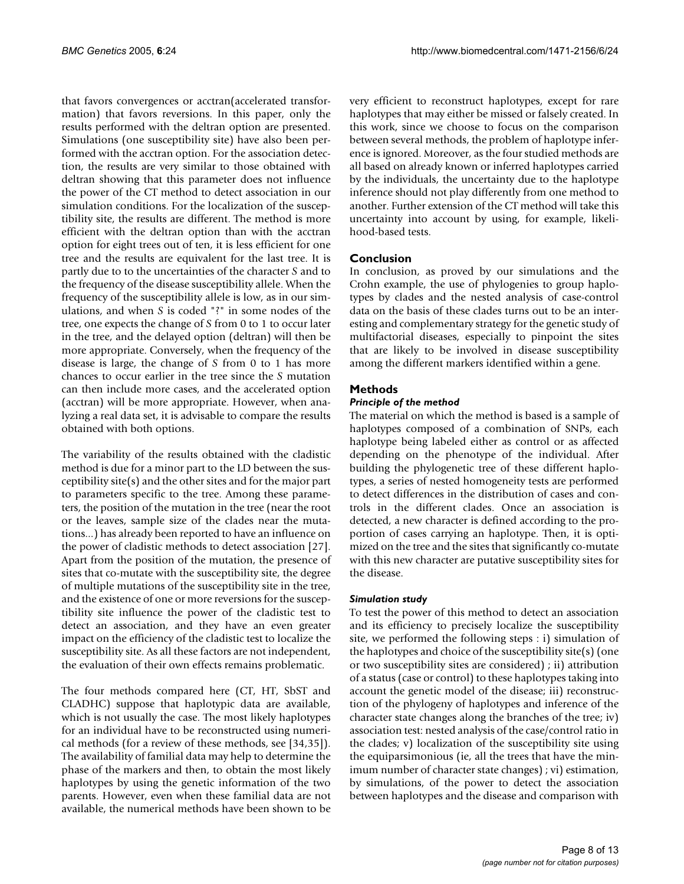that favors convergences or acctran(accelerated transformation) that favors reversions. In this paper, only the results performed with the deltran option are presented. Simulations (one susceptibility site) have also been performed with the acctran option. For the association detection, the results are very similar to those obtained with deltran showing that this parameter does not influence the power of the CT method to detect association in our simulation conditions. For the localization of the susceptibility site, the results are different. The method is more efficient with the deltran option than with the acctran option for eight trees out of ten, it is less efficient for one tree and the results are equivalent for the last tree. It is partly due to to the uncertainties of the character *S* and to the frequency of the disease susceptibility allele. When the frequency of the susceptibility allele is low, as in our simulations, and when *S* is coded "?" in some nodes of the tree, one expects the change of *S* from 0 to 1 to occur later in the tree, and the delayed option (deltran) will then be more appropriate. Conversely, when the frequency of the disease is large, the change of *S* from 0 to 1 has more chances to occur earlier in the tree since the *S* mutation can then include more cases, and the accelerated option (acctran) will be more appropriate. However, when analyzing a real data set, it is advisable to compare the results obtained with both options.

The variability of the results obtained with the cladistic method is due for a minor part to the LD between the susceptibility site(s) and the other sites and for the major part to parameters specific to the tree. Among these parameters, the position of the mutation in the tree (near the root or the leaves, sample size of the clades near the mutations...) has already been reported to have an influence on the power of cladistic methods to detect association [27]. Apart from the position of the mutation, the presence of sites that co-mutate with the susceptibility site, the degree of multiple mutations of the susceptibility site in the tree, and the existence of one or more reversions for the susceptibility site influence the power of the cladistic test to detect an association, and they have an even greater impact on the efficiency of the cladistic test to localize the susceptibility site. As all these factors are not independent, the evaluation of their own effects remains problematic.

The four methods compared here (CT, HT, SbST and CLADHC) suppose that haplotypic data are available, which is not usually the case. The most likely haplotypes for an individual have to be reconstructed using numerical methods (for a review of these methods, see [34,35]). The availability of familial data may help to determine the phase of the markers and then, to obtain the most likely haplotypes by using the genetic information of the two parents. However, even when these familial data are not available, the numerical methods have been shown to be very efficient to reconstruct haplotypes, except for rare haplotypes that may either be missed or falsely created. In this work, since we choose to focus on the comparison between several methods, the problem of haplotype inference is ignored. Moreover, as the four studied methods are all based on already known or inferred haplotypes carried by the individuals, the uncertainty due to the haplotype inference should not play differently from one method to another. Further extension of the CT method will take this uncertainty into account by using, for example, likelihood-based tests.

# **Conclusion**

In conclusion, as proved by our simulations and the Crohn example, the use of phylogenies to group haplotypes by clades and the nested analysis of case-control data on the basis of these clades turns out to be an interesting and complementary strategy for the genetic study of multifactorial diseases, especially to pinpoint the sites that are likely to be involved in disease susceptibility among the different markers identified within a gene.

# **Methods**

## *Principle of the method*

The material on which the method is based is a sample of haplotypes composed of a combination of SNPs, each haplotype being labeled either as control or as affected depending on the phenotype of the individual. After building the phylogenetic tree of these different haplotypes, a series of nested homogeneity tests are performed to detect differences in the distribution of cases and controls in the different clades. Once an association is detected, a new character is defined according to the proportion of cases carrying an haplotype. Then, it is optimized on the tree and the sites that significantly co-mutate with this new character are putative susceptibility sites for the disease.

# *Simulation study*

To test the power of this method to detect an association and its efficiency to precisely localize the susceptibility site, we performed the following steps : i) simulation of the haplotypes and choice of the susceptibility site(s) (one or two susceptibility sites are considered) ; ii) attribution of a status (case or control) to these haplotypes taking into account the genetic model of the disease; iii) reconstruction of the phylogeny of haplotypes and inference of the character state changes along the branches of the tree; iv) association test: nested analysis of the case/control ratio in the clades; v) localization of the susceptibility site using the equiparsimonious (ie, all the trees that have the minimum number of character state changes) ; vi) estimation, by simulations, of the power to detect the association between haplotypes and the disease and comparison with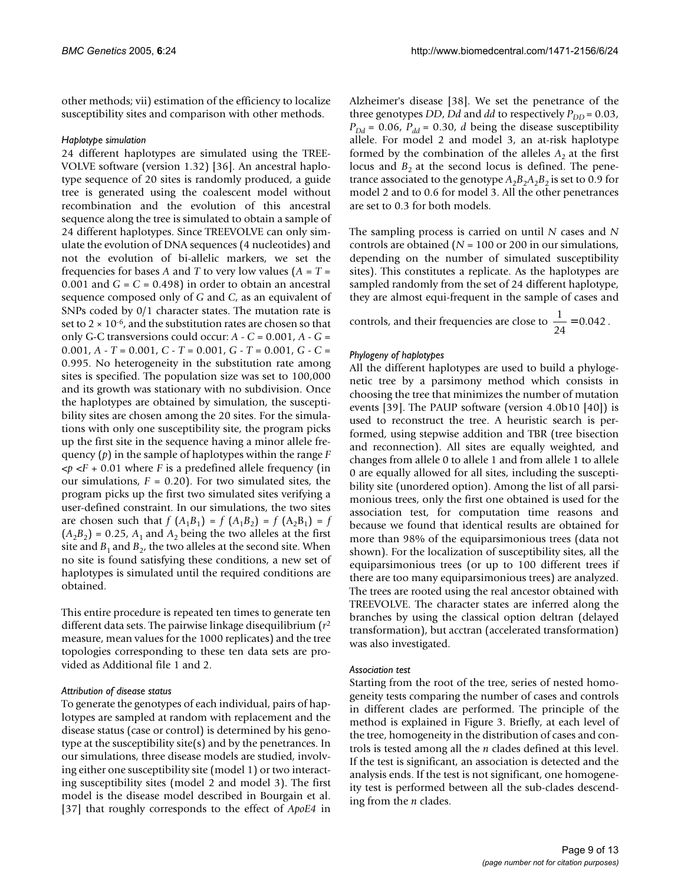other methods; vii) estimation of the efficiency to localize susceptibility sites and comparison with other methods.

#### *Haplotype simulation*

24 different haplotypes are simulated using the TREE-VOLVE software (version 1.32) [36]. An ancestral haplotype sequence of 20 sites is randomly produced, a guide tree is generated using the coalescent model without recombination and the evolution of this ancestral sequence along the tree is simulated to obtain a sample of 24 different haplotypes. Since TREEVOLVE can only simulate the evolution of DNA sequences (4 nucleotides) and not the evolution of bi-allelic markers, we set the frequencies for bases *A* and *T* to very low values  $(A = T =$ 0.001 and  $G = C = 0.498$  in order to obtain an ancestral sequence composed only of *G* and *C*, as an equivalent of SNPs coded by 0/1 character states. The mutation rate is set to  $2 \times 10^{-6}$ , and the substitution rates are chosen so that only G-C transversions could occur: *A* - *C* = 0.001, *A* - *G* = 0.001, *A* - *T* = 0.001, *C* - *T* = 0.001, *G* - *T* = 0.001, *G* - *C* = 0.995. No heterogeneity in the substitution rate among sites is specified. The population size was set to 100,000 and its growth was stationary with no subdivision. Once the haplotypes are obtained by simulation, the susceptibility sites are chosen among the 20 sites. For the simulations with only one susceptibility site, the program picks up the first site in the sequence having a minor allele frequency (*p*) in the sample of haplotypes within the range *F* <*p* <*F* + 0.01 where *F* is a predefined allele frequency (in our simulations,  $F = 0.20$ ). For two simulated sites, the program picks up the first two simulated sites verifying a user-defined constraint. In our simulations, the two sites are chosen such that  $f(A_1B_1) = f(A_1B_2) = f(A_2B_1) = f$  $(A_2B_2) = 0.25$ ,  $A_1$  and  $A_2$  being the two alleles at the first site and  $B_1$  and  $B_2$ , the two alleles at the second site. When no site is found satisfying these conditions, a new set of haplotypes is simulated until the required conditions are obtained.

This entire procedure is repeated ten times to generate ten different data sets. The pairwise linkage disequilibrium (*r* 2 measure, mean values for the 1000 replicates) and the tree topologies corresponding to these ten data sets are provided as Additional file 1 and 2.

#### *Attribution of disease status*

To generate the genotypes of each individual, pairs of haplotypes are sampled at random with replacement and the disease status (case or control) is determined by his genotype at the susceptibility site(s) and by the penetrances. In our simulations, three disease models are studied, involving either one susceptibility site (model 1) or two interacting susceptibility sites (model 2 and model 3). The first model is the disease model described in Bourgain et al. [37] that roughly corresponds to the effect of *ApoE4* in Alzheimer's disease [38]. We set the penetrance of the three genotypes *DD*, *Dd* and *dd* to respectively  $P_{DD} = 0.03$ ,  $P_{Dd}$  = 0.06,  $P_{dd}$  = 0.30, *d* being the disease susceptibility allele. For model 2 and model 3, an at-risk haplotype formed by the combination of the alleles  $A_2$  at the first locus and  $B_2$  at the second locus is defined. The penetrance associated to the genotype  $A_2B_2A_2B_2$  is set to 0.9 for model 2 and to 0.6 for model 3. All the other penetrances are set to 0.3 for both models.

The sampling process is carried on until *N* cases and *N* controls are obtained (*N* = 100 or 200 in our simulations, depending on the number of simulated susceptibility sites). This constitutes a replicate. As the haplotypes are sampled randomly from the set of 24 different haplotype, they are almost equi-frequent in the sample of cases and

controls, and their frequencies are close to  $\frac{1}{\gamma}$  = 0.042.  $\frac{1}{24}$  = 0.042

## *Phylogeny of haplotypes*

All the different haplotypes are used to build a phylogenetic tree by a parsimony method which consists in choosing the tree that minimizes the number of mutation events [39]. The PAUP software (version 4.0b10 [40]) is used to reconstruct the tree. A heuristic search is performed, using stepwise addition and TBR (tree bisection and reconnection). All sites are equally weighted, and changes from allele 0 to allele 1 and from allele 1 to allele 0 are equally allowed for all sites, including the susceptibility site (unordered option). Among the list of all parsimonious trees, only the first one obtained is used for the association test, for computation time reasons and because we found that identical results are obtained for more than 98% of the equiparsimonious trees (data not shown). For the localization of susceptibility sites, all the equiparsimonious trees (or up to 100 different trees if there are too many equiparsimonious trees) are analyzed. The trees are rooted using the real ancestor obtained with TREEVOLVE. The character states are inferred along the branches by using the classical option deltran (delayed transformation), but acctran (accelerated transformation) was also investigated.

#### *Association test*

Starting from the root of the tree, series of nested homogeneity tests comparing the number of cases and controls in different clades are performed. The principle of the method is explained in Figure 3. Briefly, at each level of the tree, homogeneity in the distribution of cases and controls is tested among all the *n* clades defined at this level. If the test is significant, an association is detected and the analysis ends. If the test is not significant, one homogeneity test is performed between all the sub-clades descending from the *n* clades.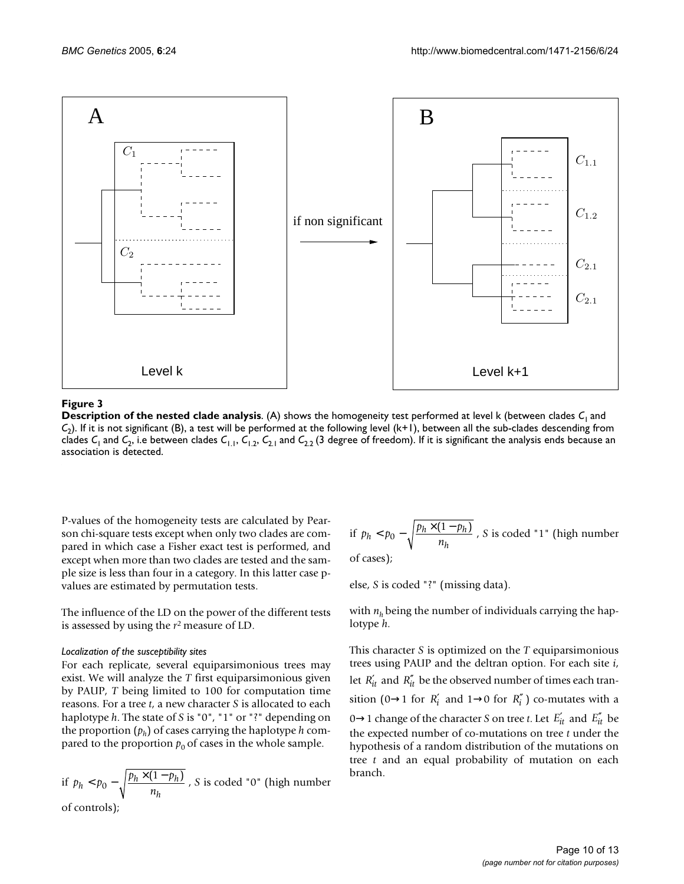

## **Figure 3**

**Description of the nested clade analysis**. (A) shows the homogeneity test performed at level k (between clades C<sub>1</sub> and *C*2 ). If it is not significant (B), a test will be performed at the following level (k+1), between all the sub-clades descending from clades *C*1 and *C*<sup>2</sup> , i.e between clades *C*1.1, *C*1.2, *C*2.1 and *C*2.2 (3 degree of freedom). If it is significant the analysis ends because an association is detected.

P-values of the homogeneity tests are calculated by Pearson chi-square tests except when only two clades are compared in which case a Fisher exact test is performed, and except when more than two clades are tested and the sample size is less than four in a category. In this latter case pvalues are estimated by permutation tests.

The influence of the LD on the power of the different tests is assessed by using the *r* <sup>2</sup>measure of LD.

## *Localization of the susceptibility sites*

For each replicate, several equiparsimonious trees may exist. We will analyze the *T* first equiparsimonious given by PAUP, *T* being limited to 100 for computation time reasons. For a tree *t*, a new character *S* is allocated to each haplotype *h*. The state of *S* is "0", "1" or "?" depending on the proportion (*p<sup>h</sup>* ) of cases carrying the haplotype *h* compared to the proportion  $p_0$  of cases in the whole sample.

if 
$$
p_h < p_0 - \sqrt{\frac{p_h \times (1 - p_h)}{n_h}}
$$
, *S* is coded "0" (high number of controls).

of controls);

if 
$$
p_h < p_0 - \sqrt{\frac{p_h \times (1 - p_h)}{n_h}}
$$
, *S* is coded "1" (high number of cases);

else, *S* is coded "?" (missing data).

with  $n_h$  being the number of individuals carrying the haplotype *h*.

This character *S* is optimized on the *T* equiparsimonious trees using PAUP and the deltran option. For each site *i*, let  $R'_{it}$  and  $R''_{it}$  be the observed number of times each transition (0→1 for  $R'_i$  and 1→0 for  $R''_i$ ) co-mutates with a 0→1 change of the character *S* on tree *t*. Let  $E'_{it}$  and  $E''_{it}$  be the expected number of co-mutations on tree *t* under the hypothesis of a random distribution of the mutations on tree *t* and an equal probability of mutation on each branch.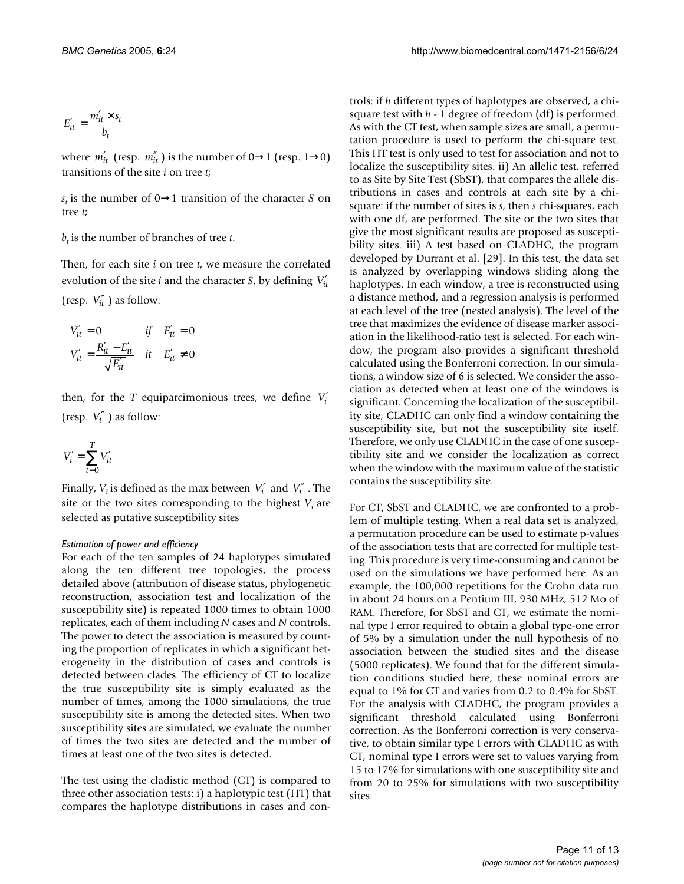$$
E'_{it} = \frac{m'_{it} \times s_t}{b_t}
$$

where  $m'_{it}$  (resp.  $m''_{it}$ ) is the number of 0→1 (resp. 1→0) transitions of the site *i* on tree *t*;

 $s_t$  is the number of  $0 \rightarrow 1$  transition of the character *S* on tree *t*;

 $b_t$  is the number of branches of tree  $t$ .

Then, for each site *i* on tree *t*, we measure the correlated evolution of the site *i* and the character *S*, by defining  $V'_{it}$ (resp.  $V''_{it}$ ) as follow:

$$
\begin{cases} V_{it}'=0 & if \quad E_{it}'=0 \\ V_{it}'=\dfrac{R_{it}'-E_{it}'}{\sqrt{E_{it}'}} & it \quad E_{it}'\neq 0 \end{cases}
$$

then, for the *T* equiparcimonious trees, we define  $V_i'$ (resp.  $V_i''$ ) as follow:

$$
V_i' = \sum_{t=0}^T V_{it}'
$$

Finally,  $V_i$  is defined as the max between  $V'_i$  and  $V''_i$ . The site or the two sites corresponding to the highest  $V_i$  are selected as putative susceptibility sites

#### *Estimation of power and efficiency*

For each of the ten samples of 24 haplotypes simulated along the ten different tree topologies, the process detailed above (attribution of disease status, phylogenetic reconstruction, association test and localization of the susceptibility site) is repeated 1000 times to obtain 1000 replicates, each of them including *N* cases and *N* controls. The power to detect the association is measured by counting the proportion of replicates in which a significant heterogeneity in the distribution of cases and controls is detected between clades. The efficiency of CT to localize the true susceptibility site is simply evaluated as the number of times, among the 1000 simulations, the true susceptibility site is among the detected sites. When two susceptibility sites are simulated, we evaluate the number of times the two sites are detected and the number of times at least one of the two sites is detected.

The test using the cladistic method (CT) is compared to three other association tests: i) a haplotypic test (HT) that compares the haplotype distributions in cases and controls: if *h* different types of haplotypes are observed, a chisquare test with *h* - 1 degree of freedom (df) is performed. As with the CT test, when sample sizes are small, a permutation procedure is used to perform the chi-square test. This HT test is only used to test for association and not to localize the susceptibility sites. ii) An allelic test, referred to as Site by Site Test (SbST), that compares the allele distributions in cases and controls at each site by a chisquare: if the number of sites is *s*, then *s* chi-squares, each with one df, are performed. The site or the two sites that give the most significant results are proposed as susceptibility sites. iii) A test based on CLADHC, the program developed by Durrant et al. [29]. In this test, the data set is analyzed by overlapping windows sliding along the haplotypes. In each window, a tree is reconstructed using a distance method, and a regression analysis is performed at each level of the tree (nested analysis). The level of the tree that maximizes the evidence of disease marker association in the likelihood-ratio test is selected. For each window, the program also provides a significant threshold calculated using the Bonferroni correction. In our simulations, a window size of 6 is selected. We consider the association as detected when at least one of the windows is significant. Concerning the localization of the susceptibility site, CLADHC can only find a window containing the susceptibility site, but not the susceptibility site itself. Therefore, we only use CLADHC in the case of one susceptibility site and we consider the localization as correct when the window with the maximum value of the statistic contains the susceptibility site.

For CT, SbST and CLADHC, we are confronted to a problem of multiple testing. When a real data set is analyzed, a permutation procedure can be used to estimate p-values of the association tests that are corrected for multiple testing. This procedure is very time-consuming and cannot be used on the simulations we have performed here. As an example, the 100,000 repetitions for the Crohn data run in about 24 hours on a Pentium III, 930 MHz, 512 Mo of RAM. Therefore, for SbST and CT, we estimate the nominal type I error required to obtain a global type-one error of 5% by a simulation under the null hypothesis of no association between the studied sites and the disease (5000 replicates). We found that for the different simulation conditions studied here, these nominal errors are equal to 1% for CT and varies from 0.2 to 0.4% for SbST. For the analysis with CLADHC, the program provides a significant threshold calculated using Bonferroni correction. As the Bonferroni correction is very conservative, to obtain similar type I errors with CLADHC as with CT, nominal type I errors were set to values varying from 15 to 17% for simulations with one susceptibility site and from 20 to 25% for simulations with two susceptibility sites.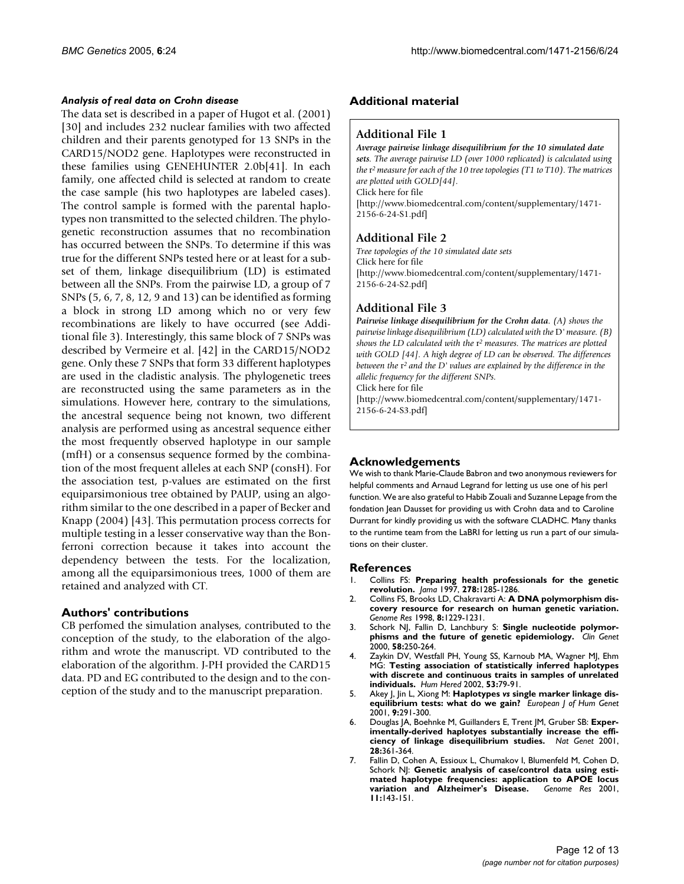#### *Analysis of real data on Crohn disease*

The data set is described in a paper of Hugot et al. (2001) [30] and includes 232 nuclear families with two affected children and their parents genotyped for 13 SNPs in the CARD15/NOD2 gene. Haplotypes were reconstructed in these families using GENEHUNTER 2.0b[41]. In each family, one affected child is selected at random to create the case sample (his two haplotypes are labeled cases). The control sample is formed with the parental haplotypes non transmitted to the selected children. The phylogenetic reconstruction assumes that no recombination has occurred between the SNPs. To determine if this was true for the different SNPs tested here or at least for a subset of them, linkage disequilibrium (LD) is estimated between all the SNPs. From the pairwise LD, a group of 7 SNPs (5, 6, 7, 8, 12, 9 and 13) can be identified as forming a block in strong LD among which no or very few recombinations are likely to have occurred (see Additional file 3). Interestingly, this same block of 7 SNPs was described by Vermeire et al. [42] in the CARD15/NOD2 gene. Only these 7 SNPs that form 33 different haplotypes are used in the cladistic analysis. The phylogenetic trees are reconstructed using the same parameters as in the simulations. However here, contrary to the simulations, the ancestral sequence being not known, two different analysis are performed using as ancestral sequence either the most frequently observed haplotype in our sample (mfH) or a consensus sequence formed by the combination of the most frequent alleles at each SNP (consH). For the association test, p-values are estimated on the first equiparsimonious tree obtained by PAUP, using an algorithm similar to the one described in a paper of Becker and Knapp (2004) [43]. This permutation process corrects for multiple testing in a lesser conservative way than the Bonferroni correction because it takes into account the dependency between the tests. For the localization, among all the equiparsimonious trees, 1000 of them are retained and analyzed with CT.

## **Authors' contributions**

CB perfomed the simulation analyses, contributed to the conception of the study, to the elaboration of the algorithm and wrote the manuscript. VD contributed to the elaboration of the algorithm. J-PH provided the CARD15 data. PD and EG contributed to the design and to the conception of the study and to the manuscript preparation.

## **Additional material**

### **Additional File 1**

*Average pairwise linkage disequilibrium for the 10 simulated date sets. The average pairwise LD (over 1000 replicated) is calculated using the* r *<sup>2</sup>measure for each of the 10 tree topologies (T1 to T10). The matrices are plotted with GOLD[44].* Click here for file [\[http://www.biomedcentral.com/content/supplementary/1471-](http://www.biomedcentral.com/content/supplementary/1471-2156-6-24-S1.pdf) 2156-6-24-S1.pdf]

## **Additional File 2**

*Tree topologies of the 10 simulated date sets* Click here for file [\[http://www.biomedcentral.com/content/supplementary/1471-](http://www.biomedcentral.com/content/supplementary/1471-2156-6-24-S2.pdf) 2156-6-24-S2.pdf]

## **Additional File 3**

*Pairwise linkage disequilibrium for the Crohn data. (A) shows the pairwise linkage disequilibrium (LD) calculated with the* D*' measure. (B) shows the LD calculated with the* r *<sup>2</sup>measures. The matrices are plotted with GOLD [44]. A high degree of LD can be observed. The differences between the* r *<sup>2</sup>and the D' values are explained by the difference in the allelic frequency for the different SNPs.*

Click here for file

[\[http://www.biomedcentral.com/content/supplementary/1471-](http://www.biomedcentral.com/content/supplementary/1471-2156-6-24-S3.pdf) 2156-6-24-S3.pdf]

# **Acknowledgements**

We wish to thank Marie-Claude Babron and two anonymous reviewers for helpful comments and Arnaud Legrand for letting us use one of his perl function. We are also grateful to Habib Zouali and Suzanne Lepage from the fondation Jean Dausset for providing us with Crohn data and to Caroline Durrant for kindly providing us with the software CLADHC. Many thanks to the runtime team from the LaBRI for letting us run a part of our simulations on their cluster.

#### **References**

- 1. Collins FS: **[Preparing health professionals for the genetic](http://www.ncbi.nlm.nih.gov/entrez/query.fcgi?cmd=Retrieve&db=PubMed&dopt=Abstract&list_uids=9333274) [revolution.](http://www.ncbi.nlm.nih.gov/entrez/query.fcgi?cmd=Retrieve&db=PubMed&dopt=Abstract&list_uids=9333274)** *Jama* 1997, **278:**1285-1286.
- 2. Collins FS, Brooks LD, Chakravarti A: **[A DNA polymorphism dis](http://www.ncbi.nlm.nih.gov/entrez/query.fcgi?cmd=Retrieve&db=PubMed&dopt=Abstract&list_uids=9872978)[covery resource for research on human genetic variation.](http://www.ncbi.nlm.nih.gov/entrez/query.fcgi?cmd=Retrieve&db=PubMed&dopt=Abstract&list_uids=9872978)** *Genome Res* 1998, **8:**1229-1231.
- 3. Schork NJ, Fallin D, Lanchbury S: **[Single nucleotide polymor](http://www.ncbi.nlm.nih.gov/entrez/query.fcgi?cmd=Retrieve&db=PubMed&dopt=Abstract&list_uids=11076050)[phisms and the future of genetic epidemiology.](http://www.ncbi.nlm.nih.gov/entrez/query.fcgi?cmd=Retrieve&db=PubMed&dopt=Abstract&list_uids=11076050)** *Clin Genet* 2000, **58:**250-264.
- 4. Zaykin DV, Westfall PH, Young SS, Karnoub MA, Wagner MJ, Ehm MG: **[Testing association of statistically inferred haplotypes](http://www.ncbi.nlm.nih.gov/entrez/query.fcgi?cmd=Retrieve&db=PubMed&dopt=Abstract&list_uids=12037407) [with discrete and continuous traits in samples of unrelated](http://www.ncbi.nlm.nih.gov/entrez/query.fcgi?cmd=Retrieve&db=PubMed&dopt=Abstract&list_uids=12037407) [individuals.](http://www.ncbi.nlm.nih.gov/entrez/query.fcgi?cmd=Retrieve&db=PubMed&dopt=Abstract&list_uids=12037407)** *Hum Hered* 2002, **53:**79-91.
- 5. Akey J, Jin L, Xiong M: **Haplotypes** *vs* **single marker linkage disequilibrium tests: what do we gain?** *European J of Hum Genet* 2001, **9:**291-300.
- 6. Douglas JA, Boehnke M, Guillanders E, Trent JM, Gruber SB: **[Exper](http://www.ncbi.nlm.nih.gov/entrez/query.fcgi?cmd=Retrieve&db=PubMed&dopt=Abstract&list_uids=11443299)[imentally-derived haplotyes substantially increase the effi](http://www.ncbi.nlm.nih.gov/entrez/query.fcgi?cmd=Retrieve&db=PubMed&dopt=Abstract&list_uids=11443299)[ciency of linkage disequilibrium studies.](http://www.ncbi.nlm.nih.gov/entrez/query.fcgi?cmd=Retrieve&db=PubMed&dopt=Abstract&list_uids=11443299)** *Nat Genet* 2001, **28:**361-364.
- 7. Fallin D, Cohen A, Essioux L, Chumakov I, Blumenfeld M, Cohen D, Schork NJ: **[Genetic analysis of case/control data using esti](http://www.ncbi.nlm.nih.gov/entrez/query.fcgi?cmd=Retrieve&db=PubMed&dopt=Abstract&list_uids=11156623)[mated haplotype frequencies: application to APOE locus](http://www.ncbi.nlm.nih.gov/entrez/query.fcgi?cmd=Retrieve&db=PubMed&dopt=Abstract&list_uids=11156623)** [variation and Alzheimer's Disease.](http://www.ncbi.nlm.nih.gov/entrez/query.fcgi?cmd=Retrieve&db=PubMed&dopt=Abstract&list_uids=11156623) **11:**143-151.